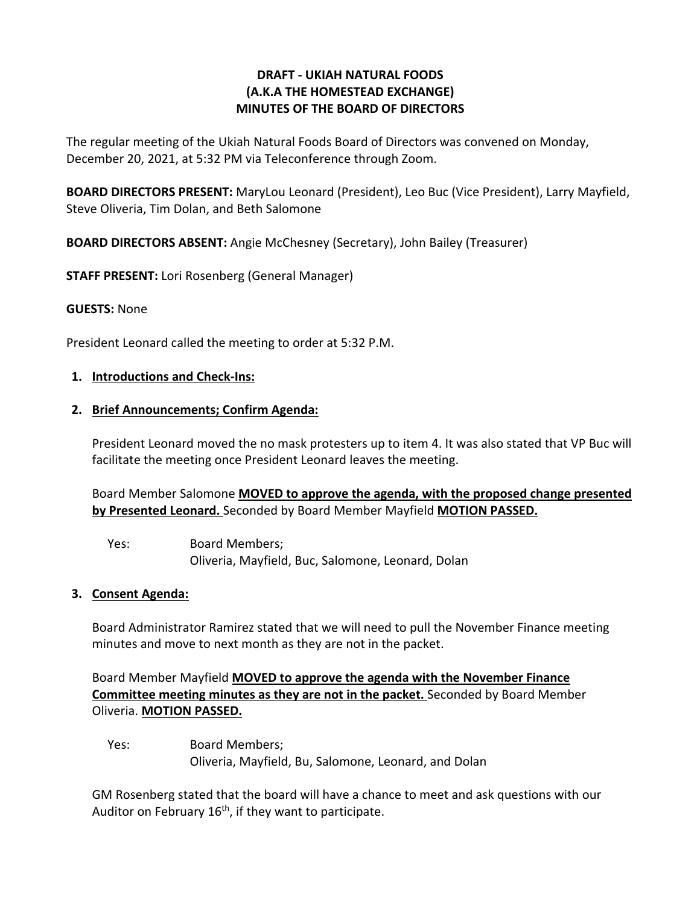### **DRAFT - UKIAH NATURAL FOODS (A.K.A THE HOMESTEAD EXCHANGE) MINUTES OF THE BOARD OF DIRECTORS**

The regular meeting of the Ukiah Natural Foods Board of Directors was convened on Monday, December 20, 2021, at 5:32 PM via Teleconference through Zoom.

**BOARD DIRECTORS PRESENT:** MaryLou Leonard (President), Leo Buc (Vice President), Larry Mayfield, Steve Oliveria, Tim Dolan, and Beth Salomone

**BOARD DIRECTORS ABSENT:** Angie McChesney (Secretary), John Bailey (Treasurer)

**STAFF PRESENT:** Lori Rosenberg (General Manager)

#### **GUESTS:** None

President Leonard called the meeting to order at 5:32 P.M.

#### **1. Introductions and Check-Ins:**

#### **2. Brief Announcements; Confirm Agenda:**

President Leonard moved the no mask protesters up to item 4. It was also stated that VP Buc will facilitate the meeting once President Leonard leaves the meeting.

Board Member Salomone **MOVED to approve the agenda, with the proposed change presented by Presented Leonard.** Seconded by Board Member Mayfield **MOTION PASSED.**

Yes: Board Members; Oliveria, Mayfield, Buc, Salomone, Leonard, Dolan

#### **3. Consent Agenda:**

Board Administrator Ramirez stated that we will need to pull the November Finance meeting minutes and move to next month as they are not in the packet.

Board Member Mayfield **MOVED to approve the agenda with the November Finance Committee meeting minutes as they are not in the packet.** Seconded by Board Member Oliveria. **MOTION PASSED.** 

Yes: Board Members; Oliveria, Mayfield, Bu, Salomone, Leonard, and Dolan

GM Rosenberg stated that the board will have a chance to meet and ask questions with our Auditor on February  $16<sup>th</sup>$ , if they want to participate.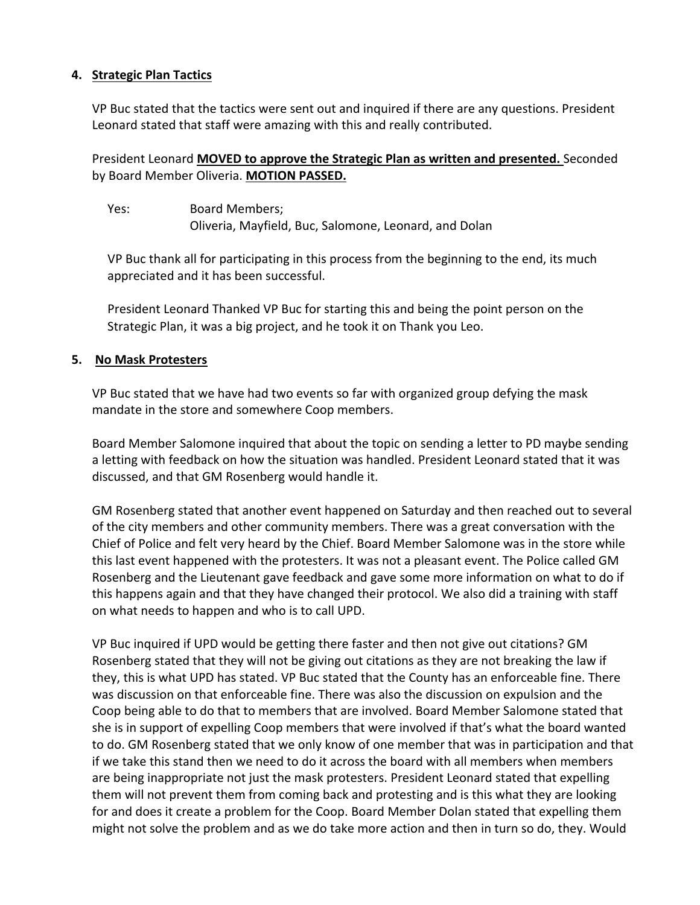### **4. Strategic Plan Tactics**

VP Buc stated that the tactics were sent out and inquired if there are any questions. President Leonard stated that staff were amazing with this and really contributed.

President Leonard **MOVED to approve the Strategic Plan as written and presented.** Seconded by Board Member Oliveria. **MOTION PASSED.** 

Yes: Board Members; Oliveria, Mayfield, Buc, Salomone, Leonard, and Dolan

VP Buc thank all for participating in this process from the beginning to the end, its much appreciated and it has been successful.

President Leonard Thanked VP Buc for starting this and being the point person on the Strategic Plan, it was a big project, and he took it on Thank you Leo.

#### **5. No Mask Protesters**

VP Buc stated that we have had two events so far with organized group defying the mask mandate in the store and somewhere Coop members.

Board Member Salomone inquired that about the topic on sending a letter to PD maybe sending a letting with feedback on how the situation was handled. President Leonard stated that it was discussed, and that GM Rosenberg would handle it.

GM Rosenberg stated that another event happened on Saturday and then reached out to several of the city members and other community members. There was a great conversation with the Chief of Police and felt very heard by the Chief. Board Member Salomone was in the store while this last event happened with the protesters. It was not a pleasant event. The Police called GM Rosenberg and the Lieutenant gave feedback and gave some more information on what to do if this happens again and that they have changed their protocol. We also did a training with staff on what needs to happen and who is to call UPD.

VP Buc inquired if UPD would be getting there faster and then not give out citations? GM Rosenberg stated that they will not be giving out citations as they are not breaking the law if they, this is what UPD has stated. VP Buc stated that the County has an enforceable fine. There was discussion on that enforceable fine. There was also the discussion on expulsion and the Coop being able to do that to members that are involved. Board Member Salomone stated that she is in support of expelling Coop members that were involved if that's what the board wanted to do. GM Rosenberg stated that we only know of one member that was in participation and that if we take this stand then we need to do it across the board with all members when members are being inappropriate not just the mask protesters. President Leonard stated that expelling them will not prevent them from coming back and protesting and is this what they are looking for and does it create a problem for the Coop. Board Member Dolan stated that expelling them might not solve the problem and as we do take more action and then in turn so do, they. Would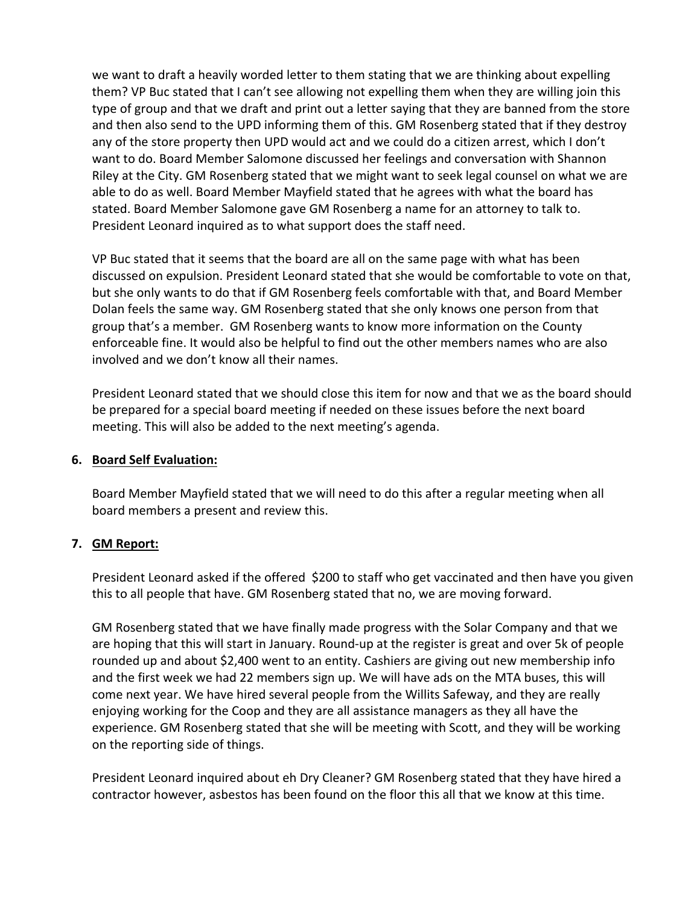we want to draft a heavily worded letter to them stating that we are thinking about expelling them? VP Buc stated that I can't see allowing not expelling them when they are willing join this type of group and that we draft and print out a letter saying that they are banned from the store and then also send to the UPD informing them of this. GM Rosenberg stated that if they destroy any of the store property then UPD would act and we could do a citizen arrest, which I don't want to do. Board Member Salomone discussed her feelings and conversation with Shannon Riley at the City. GM Rosenberg stated that we might want to seek legal counsel on what we are able to do as well. Board Member Mayfield stated that he agrees with what the board has stated. Board Member Salomone gave GM Rosenberg a name for an attorney to talk to. President Leonard inquired as to what support does the staff need.

VP Buc stated that it seems that the board are all on the same page with what has been discussed on expulsion. President Leonard stated that she would be comfortable to vote on that, but she only wants to do that if GM Rosenberg feels comfortable with that, and Board Member Dolan feels the same way. GM Rosenberg stated that she only knows one person from that group that's a member. GM Rosenberg wants to know more information on the County enforceable fine. It would also be helpful to find out the other members names who are also involved and we don't know all their names.

President Leonard stated that we should close this item for now and that we as the board should be prepared for a special board meeting if needed on these issues before the next board meeting. This will also be added to the next meeting's agenda.

### **6. Board Self Evaluation:**

Board Member Mayfield stated that we will need to do this after a regular meeting when all board members a present and review this.

## **7. GM Report:**

President Leonard asked if the offered \$200 to staff who get vaccinated and then have you given this to all people that have. GM Rosenberg stated that no, we are moving forward.

GM Rosenberg stated that we have finally made progress with the Solar Company and that we are hoping that this will start in January. Round-up at the register is great and over 5k of people rounded up and about \$2,400 went to an entity. Cashiers are giving out new membership info and the first week we had 22 members sign up. We will have ads on the MTA buses, this will come next year. We have hired several people from the Willits Safeway, and they are really enjoying working for the Coop and they are all assistance managers as they all have the experience. GM Rosenberg stated that she will be meeting with Scott, and they will be working on the reporting side of things.

President Leonard inquired about eh Dry Cleaner? GM Rosenberg stated that they have hired a contractor however, asbestos has been found on the floor this all that we know at this time.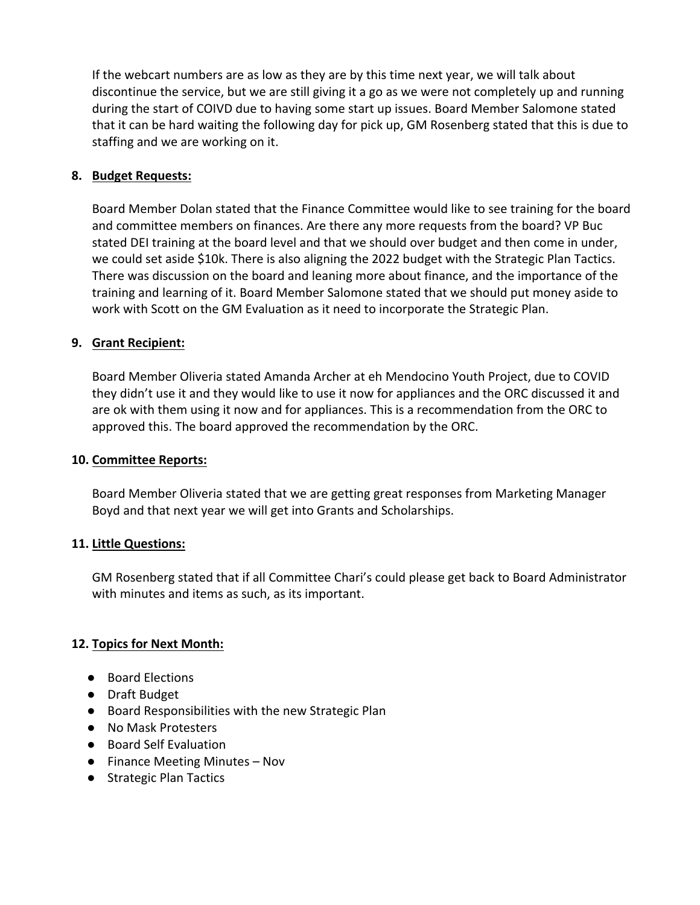If the webcart numbers are as low as they are by this time next year, we will talk about discontinue the service, but we are still giving it a go as we were not completely up and running during the start of COIVD due to having some start up issues. Board Member Salomone stated that it can be hard waiting the following day for pick up, GM Rosenberg stated that this is due to staffing and we are working on it.

## **8. Budget Requests:**

Board Member Dolan stated that the Finance Committee would like to see training for the board and committee members on finances. Are there any more requests from the board? VP Buc stated DEI training at the board level and that we should over budget and then come in under, we could set aside \$10k. There is also aligning the 2022 budget with the Strategic Plan Tactics. There was discussion on the board and leaning more about finance, and the importance of the training and learning of it. Board Member Salomone stated that we should put money aside to work with Scott on the GM Evaluation as it need to incorporate the Strategic Plan.

# **9. Grant Recipient:**

Board Member Oliveria stated Amanda Archer at eh Mendocino Youth Project, due to COVID they didn't use it and they would like to use it now for appliances and the ORC discussed it and are ok with them using it now and for appliances. This is a recommendation from the ORC to approved this. The board approved the recommendation by the ORC.

## **10. Committee Reports:**

Board Member Oliveria stated that we are getting great responses from Marketing Manager Boyd and that next year we will get into Grants and Scholarships.

## **11. Little Questions:**

GM Rosenberg stated that if all Committee Chari's could please get back to Board Administrator with minutes and items as such, as its important.

## **12. Topics for Next Month:**

- Board Elections
- Draft Budget
- Board Responsibilities with the new Strategic Plan
- No Mask Protesters
- Board Self Evaluation
- Finance Meeting Minutes Nov
- Strategic Plan Tactics